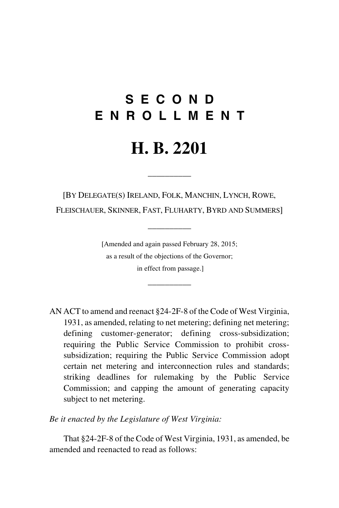# **S E C O N D E N R O L L M E N T**

# **H. B. 2201**

 $\overline{\phantom{a}}$ 

[BY DELEGATE(S) IRELAND, FOLK, MANCHIN, LYNCH, ROWE, FLEISCHAUER, SKINNER, FAST, FLUHARTY, BYRD AND SUMMERS]

 $\overline{\phantom{a}}$ 

[Amended and again passed February 28, 2015; as a result of the objections of the Governor; in effect from passage.]

\_\_\_\_\_\_\_\_\_\_

AN ACT to amend and reenact §24-2F-8 of the Code of West Virginia, 1931, as amended, relating to net metering; defining net metering; defining customer-generator; defining cross-subsidization; requiring the Public Service Commission to prohibit crosssubsidization; requiring the Public Service Commission adopt certain net metering and interconnection rules and standards; striking deadlines for rulemaking by the Public Service Commission; and capping the amount of generating capacity subject to net metering.

*Be it enacted by the Legislature of West Virginia:*

That §24-2F-8 of the Code of West Virginia, 1931, as amended, be amended and reenacted to read as follows: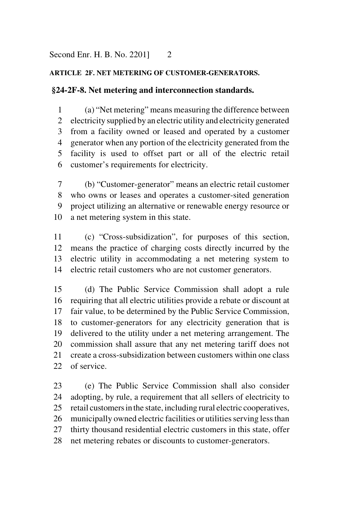### **ARTICLE 2F. NET METERING OF CUSTOMER-GENERATORS.**

### **§24-2F-8. Net metering and interconnection standards.**

 (a) "Net metering" means measuring the difference between electricity supplied by an electric utility and electricity generated from a facility owned or leased and operated by a customer generator when any portion of the electricity generated from the facility is used to offset part or all of the electric retail customer's requirements for electricity.

 (b) "Customer-generator" means an electric retail customer who owns or leases and operates a customer-sited generation project utilizing an alternative or renewable energy resource or a net metering system in this state.

 (c) "Cross-subsidization", for purposes of this section, means the practice of charging costs directly incurred by the electric utility in accommodating a net metering system to electric retail customers who are not customer generators.

 (d) The Public Service Commission shall adopt a rule requiring that all electric utilities provide a rebate or discount at fair value, to be determined by the Public Service Commission, to customer-generators for any electricity generation that is delivered to the utility under a net metering arrangement. The commission shall assure that any net metering tariff does not create a cross-subsidization between customers within one class of service.

 (e) The Public Service Commission shall also consider adopting, by rule, a requirement that all sellers of electricity to retail customers inthe state, including rural electric cooperatives, municipally owned electric facilities or utilities serving less than thirty thousand residential electric customers in this state, offer net metering rebates or discounts to customer-generators.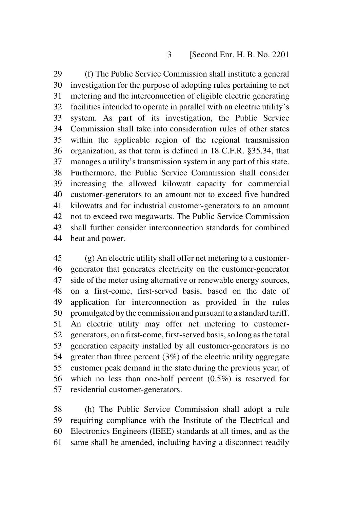#### [Second Enr. H. B. No. 2201

 (f) The Public Service Commission shall institute a general investigation for the purpose of adopting rules pertaining to net metering and the interconnection of eligible electric generating facilities intended to operate in parallel with an electric utility's system. As part of its investigation, the Public Service Commission shall take into consideration rules of other states within the applicable region of the regional transmission organization, as that term is defined in 18 C.F.R. §35.34, that manages a utility's transmission system in any part of this state. Furthermore, the Public Service Commission shall consider increasing the allowed kilowatt capacity for commercial customer-generators to an amount not to exceed five hundred kilowatts and for industrial customer-generators to an amount not to exceed two megawatts. The Public Service Commission shall further consider interconnection standards for combined heat and power.

 (g) An electric utility shall offer net metering to a customer- generator that generates electricity on the customer-generator side of the meter using alternative or renewable energy sources, on a first-come, first-served basis, based on the date of application for interconnection as provided in the rules promulgated by the commission and pursuant to a standard tariff. An electric utility may offer net metering to customer- generators, on a first-come, first-served basis, so long as the total generation capacity installed by all customer-generators is no greater than three percent (3%) of the electric utility aggregate customer peak demand in the state during the previous year, of which no less than one-half percent (0.5%) is reserved for residential customer-generators.

 (h) The Public Service Commission shall adopt a rule requiring compliance with the Institute of the Electrical and Electronics Engineers (IEEE) standards at all times, and as the same shall be amended, including having a disconnect readily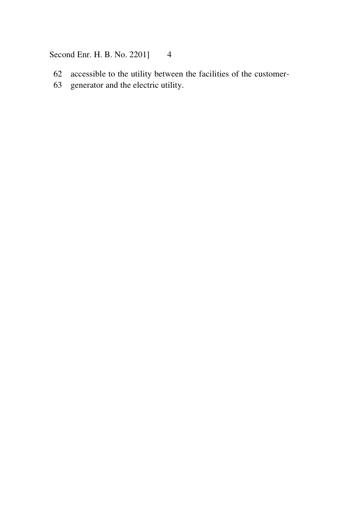## Second Enr. H. B. No. 2201] 4

- accessible to the utility between the facilities of the customer-
- generator and the electric utility.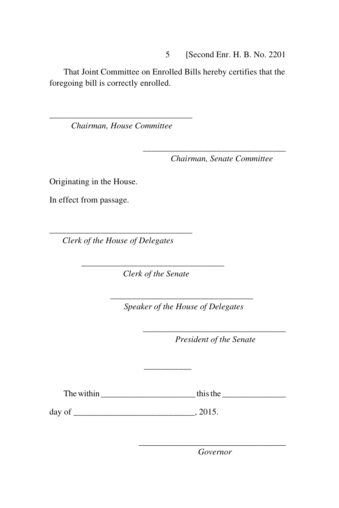5 [Second Enr. H. B. No. 2201

That Joint Committee on Enrolled Bills hereby certifies that the foregoing bill is correctly enrolled.

\_\_\_\_\_\_\_\_\_\_\_\_\_\_\_\_\_\_\_\_\_\_\_\_\_\_\_\_\_\_\_\_\_ *Chairman, House Committee*

*Chairman, Senate Committee* 

\_\_\_\_\_\_\_\_\_\_\_\_\_\_\_\_\_\_\_\_\_\_\_\_\_\_\_\_\_\_\_\_\_

Originating in the House.

In effect from passage.

\_\_\_\_\_\_\_\_\_\_\_\_\_\_\_\_\_\_\_\_\_\_\_\_\_\_\_\_\_\_\_\_\_  *Clerk of the House of Delegates* 

 *Clerk of the Senate*

\_\_\_\_\_\_\_\_\_\_\_\_\_\_\_\_\_\_\_\_\_\_\_\_\_\_\_\_\_\_\_\_\_

\_\_\_\_\_\_\_\_\_\_\_\_\_\_\_\_\_\_\_\_\_\_\_\_\_\_\_\_\_\_\_\_\_

 *Speaker of the House of Delegates* 

\_\_\_\_\_\_\_\_\_\_\_\_\_\_\_\_\_\_\_\_\_\_\_\_\_\_\_\_\_\_\_\_\_ *President of the Senate* 

The within  $\frac{1}{\sqrt{1-\frac{1}{2}}}\left\vert \frac{1}{\sqrt{1-\frac{1}{2}}}\right\vert$  this the  $\frac{1}{\sqrt{1-\frac{1}{2}}}\left\vert \frac{1}{\sqrt{1-\frac{1}{2}}}\right\vert$ 

 $\overline{\phantom{a}}$  , where  $\overline{\phantom{a}}$ 

day of  $\qquad \qquad .2015.$ 

\_\_\_\_\_\_\_\_\_\_\_\_\_\_\_\_\_\_\_\_\_\_\_\_\_\_\_\_\_\_\_\_\_\_ *Governor*